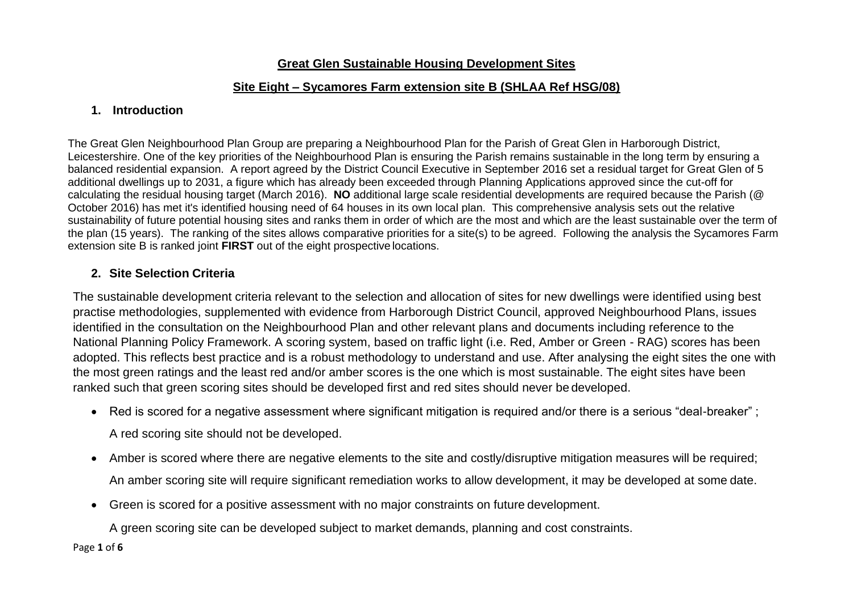## **Great Glen Sustainable Housing Development Sites**

## **Site Eight – Sycamores Farm extension site B (SHLAA Ref HSG/08)**

## **1. Introduction**

The Great Glen Neighbourhood Plan Group are preparing a Neighbourhood Plan for the Parish of Great Glen in Harborough District, Leicestershire. One of the key priorities of the Neighbourhood Plan is ensuring the Parish remains sustainable in the long term by ensuring a balanced residential expansion. A report agreed by the District Council Executive in September 2016 set a residual target for Great Glen of 5 additional dwellings up to 2031, a figure which has already been exceeded through Planning Applications approved since the cut-off for calculating the residual housing target (March 2016). **NO** additional large scale residential developments are required because the Parish (@ October 2016) has met it's identified housing need of 64 houses in its own local plan. This comprehensive analysis sets out the relative sustainability of future potential housing sites and ranks them in order of which are the most and which are the least sustainable over the term of the plan (15 years). The ranking of the sites allows comparative priorities for a site(s) to be agreed. Following the analysis the Sycamores Farm extension site B is ranked joint **FIRST** out of the eight prospective locations.

## **2. Site Selection Criteria**

The sustainable development criteria relevant to the selection and allocation of sites for new dwellings were identified using best practise methodologies, supplemented with evidence from Harborough District Council, approved Neighbourhood Plans, issues identified in the consultation on the Neighbourhood Plan and other relevant plans and documents including reference to the National Planning Policy Framework. A scoring system, based on traffic light (i.e. Red, Amber or Green - RAG) scores has been adopted. This reflects best practice and is a robust methodology to understand and use. After analysing the eight sites the one with the most green ratings and the least red and/or amber scores is the one which is most sustainable. The eight sites have been ranked such that green scoring sites should be developed first and red sites should never be developed.

• Red is scored for a negative assessment where significant mitigation is required and/or there is a serious "deal-breaker" ;

A red scoring site should not be developed.

- Amber is scored where there are negative elements to the site and costly/disruptive mitigation measures will be required; An amber scoring site will require significant remediation works to allow development, it may be developed at some date.
- Green is scored for a positive assessment with no major constraints on future development.

A green scoring site can be developed subject to market demands, planning and cost constraints.

Page **1** of **6**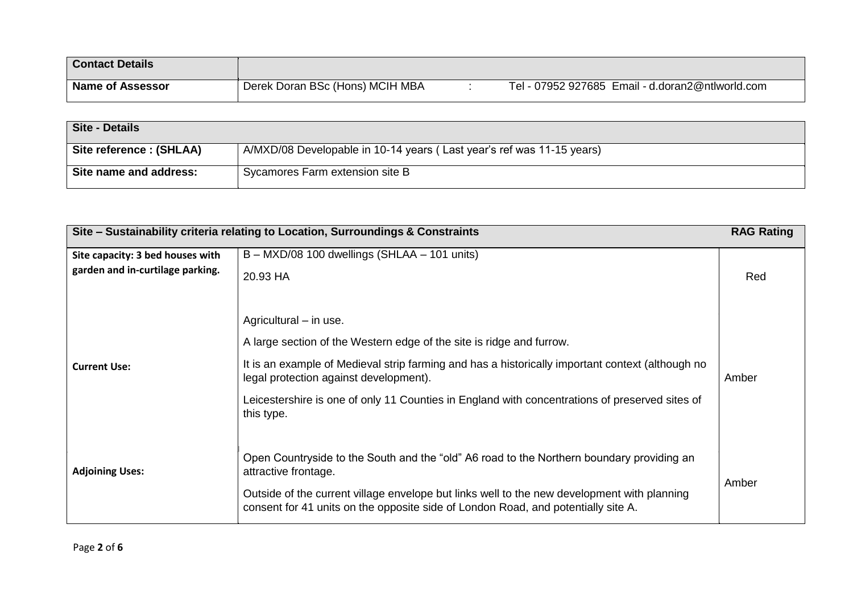| <b>Contact Details</b>  |                                 |                                                  |
|-------------------------|---------------------------------|--------------------------------------------------|
| <b>Name of Assessor</b> | Derek Doran BSc (Hons) MCIH MBA | Tel - 07952 927685 Email - d.doran2@ntlworld.com |

| Site - Details           |                                                                       |
|--------------------------|-----------------------------------------------------------------------|
| Site reference : (SHLAA) | A/MXD/08 Developable in 10-14 years (Last year's ref was 11-15 years) |
| Site name and address:   | Sycamores Farm extension site B                                       |

| Site – Sustainability criteria relating to Location, Surroundings & Constraints |                                                                                                                                                                                                                                                                                                                                                              | <b>RAG Rating</b> |
|---------------------------------------------------------------------------------|--------------------------------------------------------------------------------------------------------------------------------------------------------------------------------------------------------------------------------------------------------------------------------------------------------------------------------------------------------------|-------------------|
| Site capacity: 3 bed houses with<br>garden and in-curtilage parking.            | B - MXD/08 100 dwellings (SHLAA - 101 units)<br>20.93 HA                                                                                                                                                                                                                                                                                                     | Red               |
| <b>Current Use:</b>                                                             | Agricultural - in use.<br>A large section of the Western edge of the site is ridge and furrow.<br>It is an example of Medieval strip farming and has a historically important context (although no<br>legal protection against development).<br>Leicestershire is one of only 11 Counties in England with concentrations of preserved sites of<br>this type. | Amber             |
| <b>Adjoining Uses:</b>                                                          | Open Countryside to the South and the "old" A6 road to the Northern boundary providing an<br>attractive frontage.<br>Outside of the current village envelope but links well to the new development with planning<br>consent for 41 units on the opposite side of London Road, and potentially site A.                                                        | Amber             |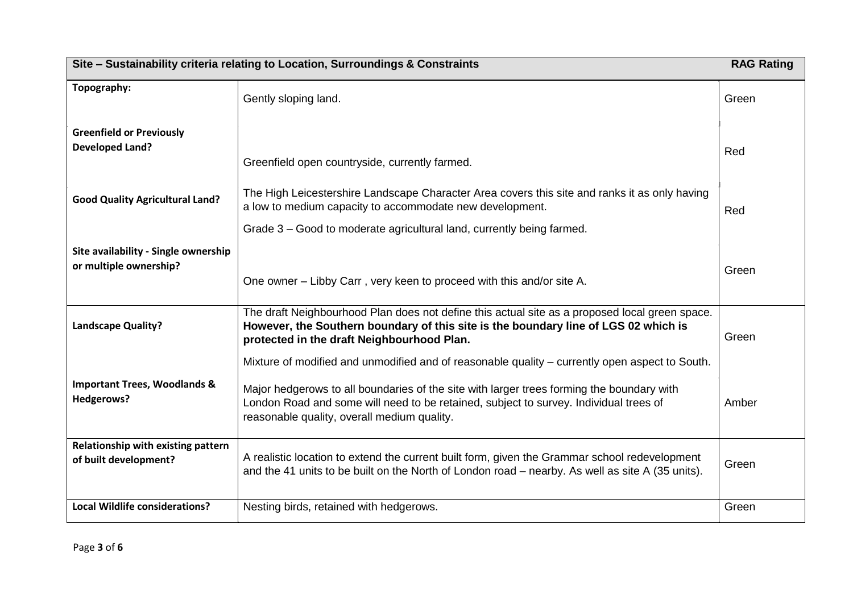| Site - Sustainability criteria relating to Location, Surroundings & Constraints |                                                                                                                                                                                                                                     | <b>RAG Rating</b> |  |
|---------------------------------------------------------------------------------|-------------------------------------------------------------------------------------------------------------------------------------------------------------------------------------------------------------------------------------|-------------------|--|
| Topography:                                                                     | Gently sloping land.                                                                                                                                                                                                                | Green             |  |
| <b>Greenfield or Previously</b><br><b>Developed Land?</b>                       | Greenfield open countryside, currently farmed.                                                                                                                                                                                      | Red               |  |
| <b>Good Quality Agricultural Land?</b>                                          | The High Leicestershire Landscape Character Area covers this site and ranks it as only having<br>a low to medium capacity to accommodate new development.                                                                           | Red               |  |
|                                                                                 | Grade 3 - Good to moderate agricultural land, currently being farmed.                                                                                                                                                               |                   |  |
| Site availability - Single ownership<br>or multiple ownership?                  | One owner – Libby Carr, very keen to proceed with this and/or site A.                                                                                                                                                               | Green             |  |
| <b>Landscape Quality?</b>                                                       | The draft Neighbourhood Plan does not define this actual site as a proposed local green space.<br>However, the Southern boundary of this site is the boundary line of LGS 02 which is<br>protected in the draft Neighbourhood Plan. | Green             |  |
|                                                                                 | Mixture of modified and unmodified and of reasonable quality – currently open aspect to South.                                                                                                                                      |                   |  |
| <b>Important Trees, Woodlands &amp;</b><br>Hedgerows?                           | Major hedgerows to all boundaries of the site with larger trees forming the boundary with<br>London Road and some will need to be retained, subject to survey. Individual trees of<br>reasonable quality, overall medium quality.   | Amber             |  |
| Relationship with existing pattern<br>of built development?                     | A realistic location to extend the current built form, given the Grammar school redevelopment<br>and the 41 units to be built on the North of London road – nearby. As well as site A (35 units).                                   | Green             |  |
| <b>Local Wildlife considerations?</b>                                           | Nesting birds, retained with hedgerows.                                                                                                                                                                                             | Green             |  |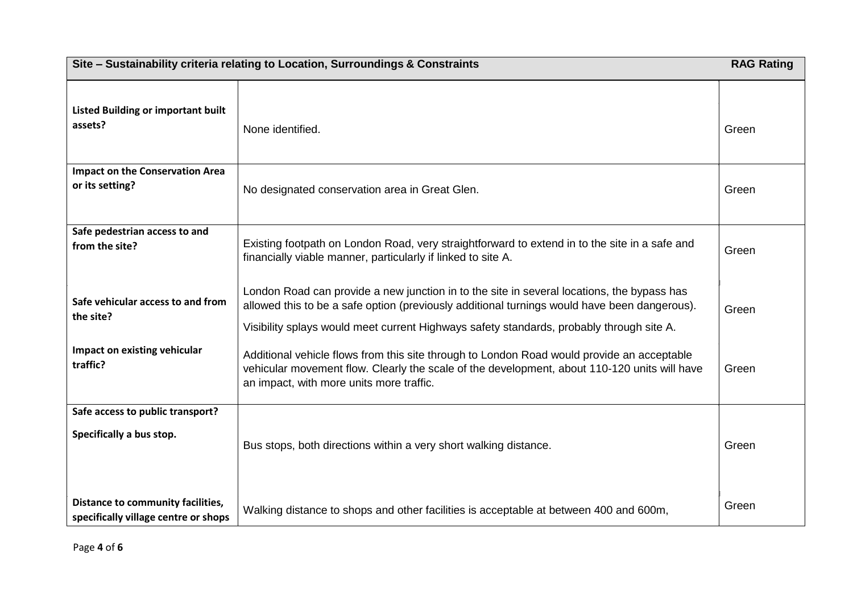| Site - Sustainability criteria relating to Location, Surroundings & Constraints |                                                                                                                                                                                                                                                                                        | <b>RAG Rating</b> |
|---------------------------------------------------------------------------------|----------------------------------------------------------------------------------------------------------------------------------------------------------------------------------------------------------------------------------------------------------------------------------------|-------------------|
| <b>Listed Building or important built</b><br>assets?                            | None identified.                                                                                                                                                                                                                                                                       | Green             |
| <b>Impact on the Conservation Area</b><br>or its setting?                       | No designated conservation area in Great Glen.                                                                                                                                                                                                                                         | Green             |
| Safe pedestrian access to and<br>from the site?                                 | Existing footpath on London Road, very straightforward to extend in to the site in a safe and<br>financially viable manner, particularly if linked to site A.                                                                                                                          | Green             |
| Safe vehicular access to and from<br>the site?                                  | London Road can provide a new junction in to the site in several locations, the bypass has<br>allowed this to be a safe option (previously additional turnings would have been dangerous).<br>Visibility splays would meet current Highways safety standards, probably through site A. | Green             |
| Impact on existing vehicular<br>traffic?                                        | Additional vehicle flows from this site through to London Road would provide an acceptable<br>vehicular movement flow. Clearly the scale of the development, about 110-120 units will have<br>an impact, with more units more traffic.                                                 | Green             |
| Safe access to public transport?<br>Specifically a bus stop.                    | Bus stops, both directions within a very short walking distance.                                                                                                                                                                                                                       | Green             |
| Distance to community facilities,<br>specifically village centre or shops       | Walking distance to shops and other facilities is acceptable at between 400 and 600m,                                                                                                                                                                                                  | Green             |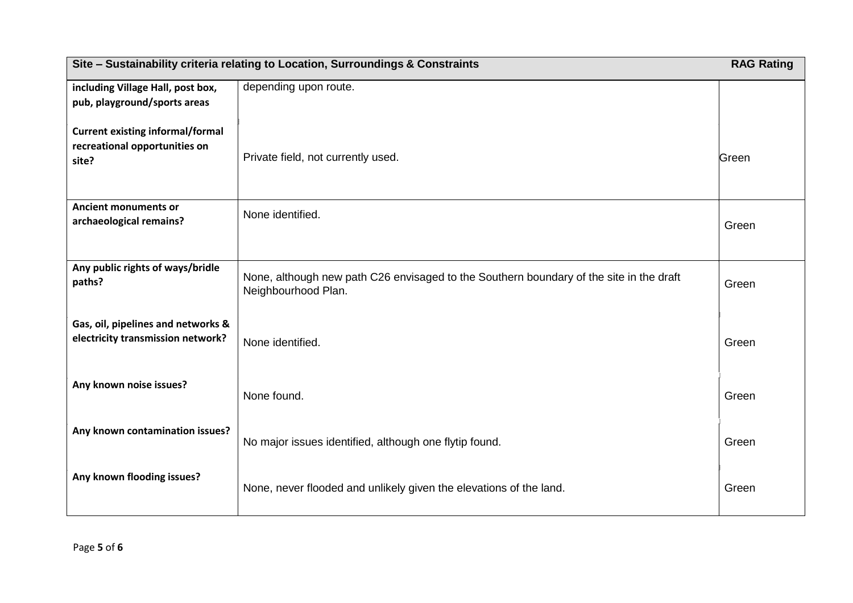| Site - Sustainability criteria relating to Location, Surroundings & Constraints   |                                                                                                                | <b>RAG Rating</b> |
|-----------------------------------------------------------------------------------|----------------------------------------------------------------------------------------------------------------|-------------------|
| including Village Hall, post box,<br>pub, playground/sports areas                 | depending upon route.                                                                                          |                   |
| <b>Current existing informal/formal</b><br>recreational opportunities on<br>site? | Private field, not currently used.                                                                             | Green             |
| <b>Ancient monuments or</b><br>archaeological remains?                            | None identified.                                                                                               | Green             |
| Any public rights of ways/bridle<br>paths?                                        | None, although new path C26 envisaged to the Southern boundary of the site in the draft<br>Neighbourhood Plan. | Green             |
| Gas, oil, pipelines and networks &<br>electricity transmission network?           | None identified.                                                                                               | Green             |
| Any known noise issues?                                                           | None found.                                                                                                    | Green             |
| Any known contamination issues?                                                   | No major issues identified, although one flytip found.                                                         | Green             |
| Any known flooding issues?                                                        | None, never flooded and unlikely given the elevations of the land.                                             | Green             |